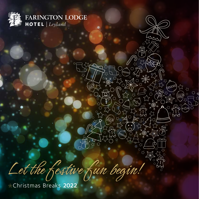

FARINGTON LODGE **HOTEL** Leyland

recier

**FOOD** 

 $\bigcirc$ 

(☆☆☆)  $\bigcap$ 

Let the festive fun begin!

Christmas Breaks 2022